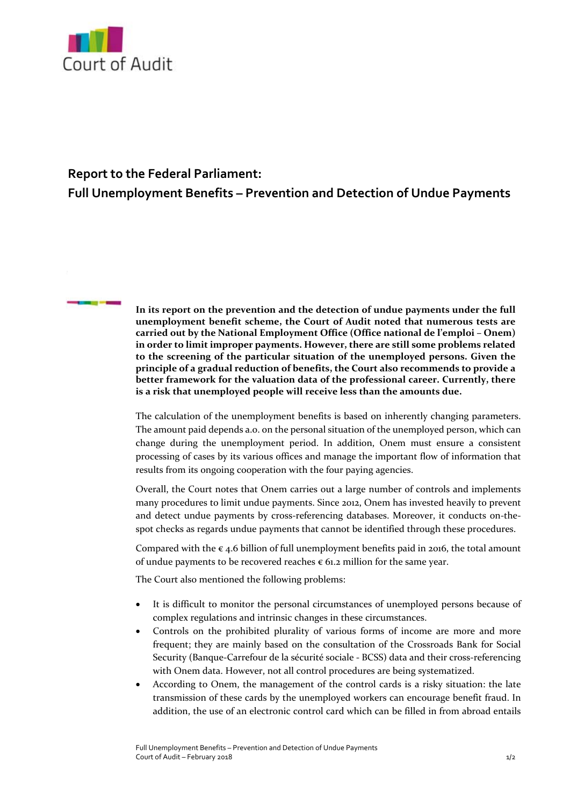

## **Report to the Federal Parliament:**

**Full Unemployment Benefits – Prevention and Detection of Undue Payments**

**In its report on the prevention and the detection of undue payments under the full unemployment benefit scheme, the Court of Audit noted that numerous tests are carried out by the National Employment Office (Office national de l'emploi – Onem) in order to limit improper payments. However, there are still some problems related to the screening of the particular situation of the unemployed persons. Given the principle of a gradual reduction of benefits, the Court also recommends to provide a better framework for the valuation data of the professional career. Currently, there is a risk that unemployed people will receive less than the amounts due.**

The calculation of the unemployment benefits is based on inherently changing parameters. The amount paid depends a.o. on the personal situation of the unemployed person, which can change during the unemployment period. In addition, Onem must ensure a consistent processing of cases by its various offices and manage the important flow of information that results from its ongoing cooperation with the four paying agencies.

Overall, the Court notes that Onem carries out a large number of controls and implements many procedures to limit undue payments. Since 2012, Onem has invested heavily to prevent and detect undue payments by cross-referencing databases. Moreover, it conducts on-thespot checks as regards undue payments that cannot be identified through these procedures.

Compared with the  $\epsilon$  4.6 billion of full unemployment benefits paid in 2016, the total amount of undue payments to be recovered reaches  $\epsilon$  61.2 million for the same year.

The Court also mentioned the following problems:

- It is difficult to monitor the personal circumstances of unemployed persons because of complex regulations and intrinsic changes in these circumstances.
- Controls on the prohibited plurality of various forms of income are more and more frequent; they are mainly based on the consultation of the Crossroads Bank for Social Security (Banque‐Carrefour de la sécurité sociale ‐ BCSS) data and their cross‐referencing with Onem data. However, not all control procedures are being systematized.
- According to Onem, the management of the control cards is a risky situation: the late transmission of these cards by the unemployed workers can encourage benefit fraud. In addition, the use of an electronic control card which can be filled in from abroad entails